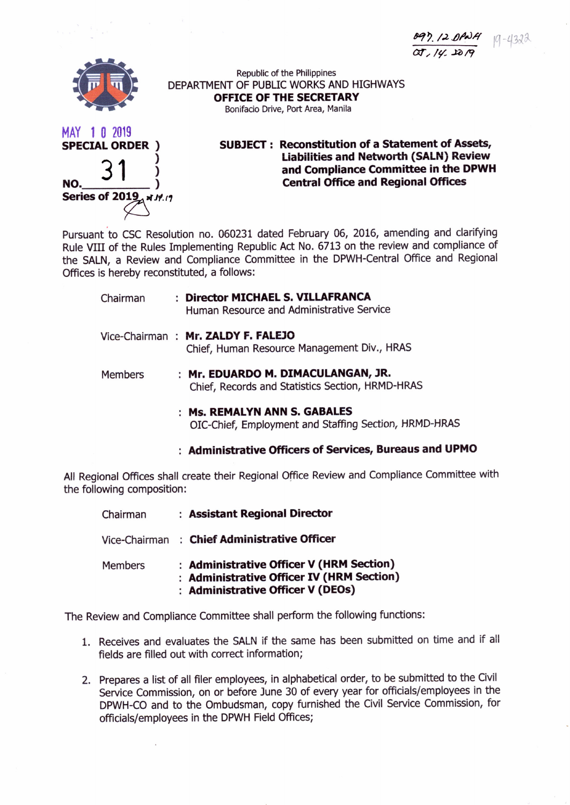897.12 DPa 14 19-4322 *or" /'/.-J;)* 19



Republic of the Philippines DEPARTMENT OF PUBliC WORKS AND HIGHWAYS **OFFICE OF THE SECRETARY** Bonifacio Drive, Port Area, Manila



**SUBJECT : Reconstitution of a Statement of Assets, Liabilities and Networth (SALN) Review and Compliance Committee in the DPWH Central Office and Regional Offices**

Pursuant to CSC Resolution no. 060231 dated February 06, 2016, amending and clarifying Rule VIII of the Rules Implementing Republic Act No. 6713 on the review and compliance of the SALN, a Review and Compliance Committee in the DPWH-Central Office and Regional Offices is hereby reconstituted, a follows:

| Chairman | : Director MICHAEL S. VILLAFRANCA<br>Human Resource and Administrative Service    |
|----------|-----------------------------------------------------------------------------------|
|          | Vice-Chairman: Mr. ZALDY F. FALEJO<br>Chief, Human Resource Management Div., HRAS |

- Members **Mr. EDUARDO M. DIMACULANGAN, JR.** Chief, Records and Statistics Section, HRMD-HRAS
	- **Ms. REMALYN ANN S. GABALES** OIC-Chief, Employment and Staffing Section, HRMD-HRAS

**Administrative Officers of Services, Bureaus and UPMO**

All Regional Offices shall create their Regional Office Review and Compliance Committee with the following composition:

| Chairman       | : Assistant Regional Director                                                                                              |
|----------------|----------------------------------------------------------------------------------------------------------------------------|
|                | Vice-Chairman : Chief Administrative Officer                                                                               |
| <b>Members</b> | : Administrative Officer V (HRM Section)<br>: Administrative Officer IV (HRM Section)<br>: Administrative Officer V (DEOs) |

The Review and Compliance Committee shall perform the following functions:

- 1. Receives and evaluates the SALN if the same has been submitted on time and if all fields are filled out with correct information;
- 2. Prepares a list of all filer employees, in alphabetical order, to be submitted to the Civil Service Commission, on or before June 30 of every year for officials/employees in the DPWH-CO and to the Ombudsman, copy furnished the Civil Service Commission, for officials/employees in the DPWH Field Offices;